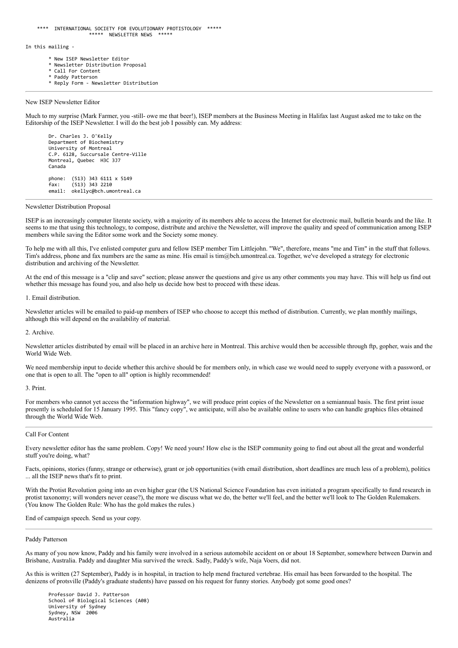In this mailing -

- \* New ISEP Newsletter Editor
- Newsletter Distribution Proposal
- \* Call For Content Paddy Patterson
- \* Reply Form Newsletter Distribution

## New ISEP Newsletter Editor

Much to my surprise (Mark Farmer, you -still- owe me that beer!), ISEP members at the Business Meeting in Halifax last August asked me to take on the Editorship of the ISEP Newsletter. I will do the best job I possibly can. My address:

Dr. Charles J. O'Kelly Department of Biochemistry University of Montreal C.P. 6128, Succursale Centre-Ville Montreal, Quebec H3C 3J7 Canada phone: (513) 343 6111 x 5149 fax: (513) 343 2210 email: okellyc@bch.umontreal.ca

## Newsletter Distribution Proposal

ISEP is an increasingly computer literate society, with a majority of its members able to access the Internet for electronic mail, bulletin boards and the like. It seems to me that using this technology, to compose, distribute and archive the Newsletter, will improve the quality and speed of communication among ISEP members while saving the Editor some work and the Society some money.

To help me with all this, I've enlisted computer guru and fellow ISEP member Tim Littlejohn. "We", therefore, means "me and Tim" in the stuff that follows. Tim's address, phone and fax numbers are the same as mine. His email is tim@bch.umontreal.ca. Together, we've developed a strategy for electronic distribution and archiving of the Newsletter.

At the end of this message is a "clip and save" section; please answer the questions and give us any other comments you may have. This will help us find out whether this message has found you, and also help us decide how best to proceed with these ideas.

1. Email distribution.

Newsletter articles will be emailed to paid-up members of ISEP who choose to accept this method of distribution. Currently, we plan monthly mailings, although this will depend on the availability of material.

2. Archive.

Newsletter articles distributed by email will be placed in an archive here in Montreal. This archive would then be accessible through ftp, gopher, wais and the World Wide Web.

We need membership input to decide whether this archive should be for members only, in which case we would need to supply everyone with a password, or one that is open to all. The "open to all" option is highly recommended!

3. Print.

For members who cannot yet access the "information highway", we will produce print copies of the Newsletter on a semiannual basis. The first print issue presently is scheduled for 15 January 1995. This "fancy copy", we anticipate, will also be available online to users who can handle graphics files obtained through the World Wide Web.

## Call For Content

Every newsletter editor has the same problem. Copy! We need yours! How else is the ISEP community going to find out about all the great and wonderful stuff you're doing, what?

Facts, opinions, stories (funny, strange or otherwise), grant or job opportunities (with email distribution, short deadlines are much less of a problem), politics ... all the ISEP news that's fit to print.

With the Protist Revolution going into an even higher gear (the US National Science Foundation has even initiated a program specifically to fund research in protist taxonomy; will wonders never cease?), the more we discuss what we do, the better we'll feel, and the better we'll look to The Golden Rulemakers. (You know The Golden Rule: Who has the gold makes the rules.)

End of campaign speech. Send us your copy.

## Paddy Patterson

As many of you now know, Paddy and his family were involved in a serious automobile accident on or about 18 September, somewhere between Darwin and Brisbane, Australia. Paddy and daughter Mia survived the wreck. Sadly, Paddy's wife, Naja Voers, did not.

As this is written (27 September), Paddy is in hospital, in traction to help mend fractured vertebrae. His email has been forwarded to the hospital. The denizens of protsville (Paddy's graduate students) have passed on his request for funny stories. Anybody got some good ones?

Professor David J. Patterson School of Biological Sciences (A08) University of Sydney Sydney, NSW 2006 Australia